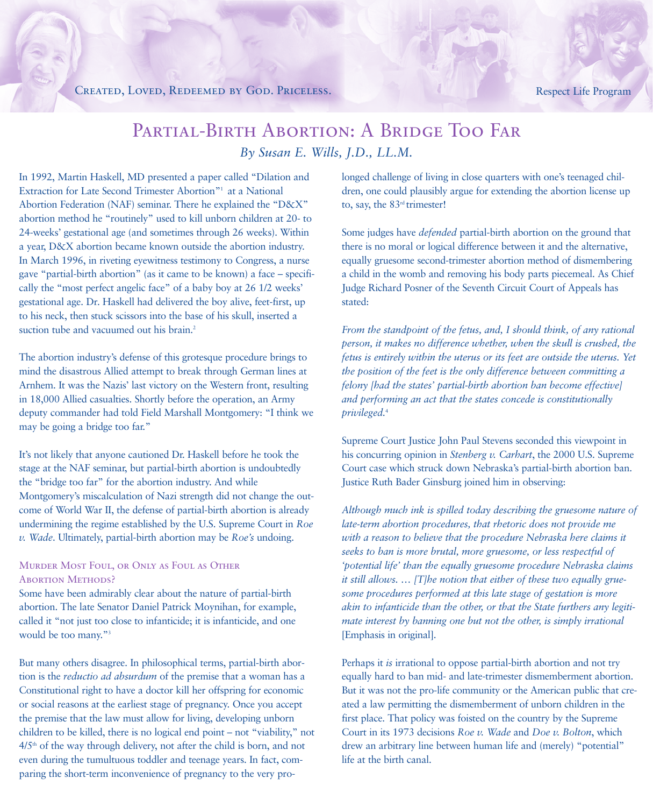# CREATED, LOVED, REDEEMED BY GOD. PRICELESS. Respect Life Program

# PARTIAL-BIRTH ABORTION: A BRIDGE TOO FAR *By Susan E. Wills, J.D., LL.M.*

In 1992, Martin Haskell, MD presented a paper called "Dilation and Extraction for Late Second Trimester Abortion"<sup>1</sup> at a National Abortion Federation (NAF) seminar. There he explained the "D&X" abortion method he "routinely" used to kill unborn children at 20- to 24-weeks' gestational age (and sometimes through 26 weeks). Within a year, D&X abortion became known outside the abortion industry. In March 1996, in riveting eyewitness testimony to Congress, a nurse gave "partial-birth abortion" (as it came to be known) a face – specifically the "most perfect angelic face" of a baby boy at 26 1/2 weeks' gestational age. Dr. Haskell had delivered the boy alive, feet-first, up to his neck, then stuck scissors into the base of his skull, inserted a suction tube and vacuumed out his brain.<sup>2</sup>

The abortion industry's defense of this grotesque procedure brings to mind the disastrous Allied attempt to break through German lines at Arnhem. It was the Nazis' last victory on the Western front, resulting in 18,000 Allied casualties. Shortly before the operation, an Army deputy commander had told Field Marshall Montgomery: "I think we may be going a bridge too far."

It's not likely that anyone cautioned Dr. Haskell before he took the stage at the NAF seminar, but partial-birth abortion is undoubtedly the "bridge too far" for the abortion industry. And while Montgomery's miscalculation of Nazi strength did not change the outcome of World War II, the defense of partial-birth abortion is already undermining the regime established by the U.S. Supreme Court in *Roe v. Wade*. Ultimately, partial-birth abortion may be *Roe's* undoing.

# Murder Most Foul, or Only as Foul as Other **ABORTION METHODS?**

Some have been admirably clear about the nature of partial-birth abortion. The late Senator Daniel Patrick Moynihan, for example, called it "not just too close to infanticide; it is infanticide, and one would be too many."3

But many others disagree. In philosophical terms, partial-birth abortion is the *reductio ad absurdum* of the premise that a woman has a Constitutional right to have a doctor kill her offspring for economic or social reasons at the earliest stage of pregnancy. Once you accept the premise that the law must allow for living, developing unborn children to be killed, there is no logical end point – not "viability," not  $4/5<sup>th</sup>$  of the way through delivery, not after the child is born, and not even during the tumultuous toddler and teenage years. In fact, comparing the short-term inconvenience of pregnancy to the very prolonged challenge of living in close quarters with one's teenaged children, one could plausibly argue for extending the abortion license up to, say, the 83<sup>rd</sup> trimester!

Some judges have *defended* partial-birth abortion on the ground that there is no moral or logical difference between it and the alternative, equally gruesome second-trimester abortion method of dismembering a child in the womb and removing his body parts piecemeal. As Chief Judge Richard Posner of the Seventh Circuit Court of Appeals has stated:

*From the standpoint of the fetus, and, I should think, of any rational person, it makes no difference whether, when the skull is crushed, the fetus is entirely within the uterus or its feet are outside the uterus. Yet the position of the feet is the only difference between committing a felony [had the states' partial-birth abortion ban become effective] and performing an act that the states concede is constitutionally privileged.*<sup>4</sup>

Supreme Court Justice John Paul Stevens seconded this viewpoint in his concurring opinion in *Stenberg v. Carhart*, the 2000 U.S. Supreme Court case which struck down Nebraska's partial-birth abortion ban. Justice Ruth Bader Ginsburg joined him in observing:

*Although much ink is spilled today describing the gruesome nature of late-term abortion procedures, that rhetoric does not provide me with a reason to believe that the procedure Nebraska here claims it seeks to ban is more brutal, more gruesome, or less respectful of 'potential life' than the equally gruesome procedure Nebraska claims it still allows. … [T]he notion that either of these two equally gruesome procedures performed at this late stage of gestation is more akin to infanticide than the other, or that the State furthers any legitimate interest by banning one but not the other, is simply irrational* [Emphasis in original].

Perhaps it *is* irrational to oppose partial-birth abortion and not try equally hard to ban mid- and late-trimester dismemberment abortion. But it was not the pro-life community or the American public that created a law permitting the dismemberment of unborn children in the first place. That policy was foisted on the country by the Supreme Court in its 1973 decisions *Roe v. Wade* and *Doe v. Bolton*, which drew an arbitrary line between human life and (merely) "potential" life at the birth canal.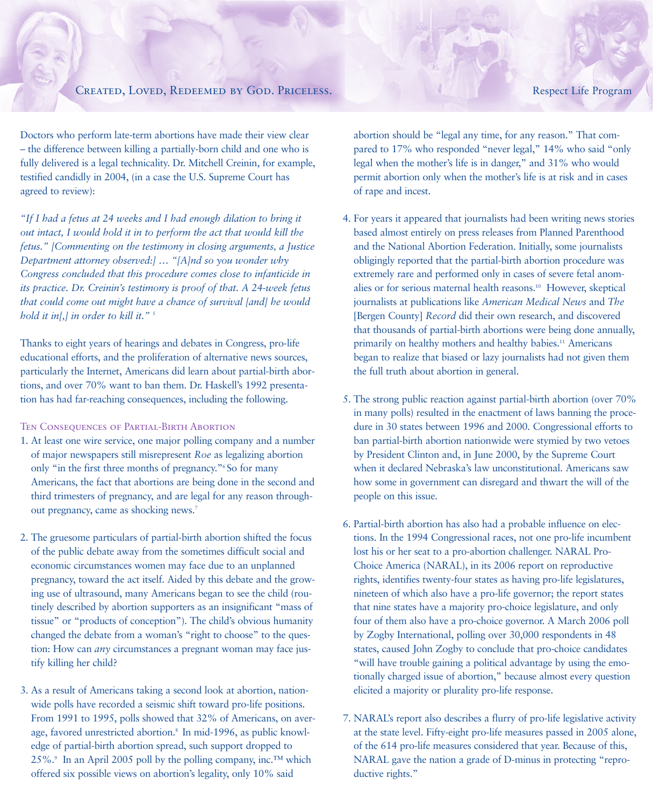# CREATED, LOVED, REDEEMED BY GOD. PRICELESS. Respect Life Program

Doctors who perform late-term abortions have made their view clear – the difference between killing a partially-born child and one who is fully delivered is a legal technicality. Dr. Mitchell Creinin, for example, testified candidly in 2004, (in a case the U.S. Supreme Court has agreed to review):

*"If I had a fetus at 24 weeks and I had enough dilation to bring it out intact, I would hold it in to perform the act that would kill the fetus." [Commenting on the testimony in closing arguments, a Justice Department attorney observed:] … "[A]nd so you wonder why Congress concluded that this procedure comes close to infanticide in its practice. Dr. Creinin's testimony is proof of that. A 24-week fetus that could come out might have a chance of survival [and] he would hold it in[,] in order to kill it."* <sup>5</sup>

Thanks to eight years of hearings and debates in Congress, pro-life educational efforts, and the proliferation of alternative news sources, particularly the Internet, Americans did learn about partial-birth abortions, and over 70% want to ban them. Dr. Haskell's 1992 presentation has had far-reaching consequences, including the following.

### TEN CONSEQUENCES OF PARTIAL-BIRTH ABORTION

- 1. At least one wire service, one major polling company and a number of major newspapers still misrepresent *Roe* as legalizing abortion only "in the first three months of pregnancy."6 So for many Americans, the fact that abortions are being done in the second and third trimesters of pregnancy, and are legal for any reason throughout pregnancy, came as shocking news.<sup>7</sup>
- 2. The gruesome particulars of partial-birth abortion shifted the focus of the public debate away from the sometimes difficult social and economic circumstances women may face due to an unplanned pregnancy, toward the act itself. Aided by this debate and the growing use of ultrasound, many Americans began to see the child (routinely described by abortion supporters as an insignificant "mass of tissue" or "products of conception"). The child's obvious humanity changed the debate from a woman's "right to choose" to the question: How can *any* circumstances a pregnant woman may face justify killing her child?
- 3. As a result of Americans taking a second look at abortion, nationwide polls have recorded a seismic shift toward pro-life positions. From 1991 to 1995, polls showed that 32% of Americans, on average, favored unrestricted abortion.<sup>8</sup> In mid-1996, as public knowledge of partial-birth abortion spread, such support dropped to 25%.<sup>9</sup> In an April 2005 poll by the polling company, inc.<sup>™</sup> which offered six possible views on abortion's legality, only 10% said

abortion should be "legal any time, for any reason." That compared to 17% who responded "never legal," 14% who said "only legal when the mother's life is in danger," and 31% who would permit abortion only when the mother's life is at risk and in cases of rape and incest.

- 4. For years it appeared that journalists had been writing news stories based almost entirely on press releases from Planned Parenthood and the National Abortion Federation. Initially, some journalists obligingly reported that the partial-birth abortion procedure was extremely rare and performed only in cases of severe fetal anomalies or for serious maternal health reasons.10 However, skeptical journalists at publications like *American Medical News* and *The* [Bergen County] *Record* did their own research, and discovered that thousands of partial-birth abortions were being done annually, primarily on healthy mothers and healthy babies.<sup>11</sup> Americans began to realize that biased or lazy journalists had not given them the full truth about abortion in general.
- 5. The strong public reaction against partial-birth abortion (over 70% in many polls) resulted in the enactment of laws banning the procedure in 30 states between 1996 and 2000. Congressional efforts to ban partial-birth abortion nationwide were stymied by two vetoes by President Clinton and, in June 2000, by the Supreme Court when it declared Nebraska's law unconstitutional. Americans saw how some in government can disregard and thwart the will of the people on this issue.
- 6. Partial-birth abortion has also had a probable influence on elections. In the 1994 Congressional races, not one pro-life incumbent lost his or her seat to a pro-abortion challenger. NARAL Pro-Choice America (NARAL), in its 2006 report on reproductive rights, identifies twenty-four states as having pro-life legislatures, nineteen of which also have a pro-life governor; the report states that nine states have a majority pro-choice legislature, and only four of them also have a pro-choice governor. A March 2006 poll by Zogby International, polling over 30,000 respondents in 48 states, caused John Zogby to conclude that pro-choice candidates "will have trouble gaining a political advantage by using the emotionally charged issue of abortion," because almost every question elicited a majority or plurality pro-life response.
- 7. NARAL's report also describes a flurry of pro-life legislative activity at the state level. Fifty-eight pro-life measures passed in 2005 alone, of the 614 pro-life measures considered that year. Because of this, NARAL gave the nation a grade of D-minus in protecting "reproductive rights."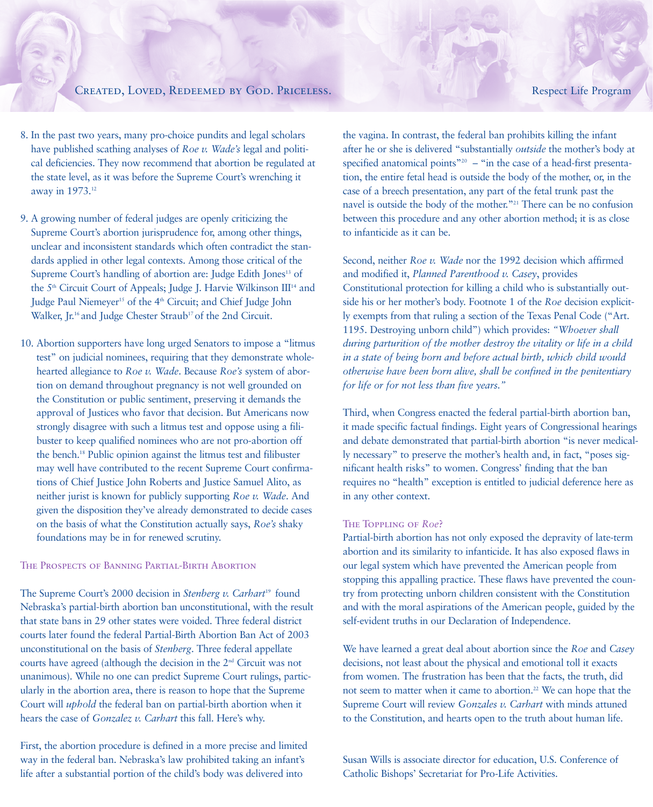# CREATED, LOVED, REDEEMED BY GOD. PRICELESS. Respect Life Program

- 8. In the past two years, many pro-choice pundits and legal scholars have published scathing analyses of *Roe v. Wade's* legal and political deficiencies. They now recommend that abortion be regulated at the state level, as it was before the Supreme Court's wrenching it away in 1973.12
- 9. A growing number of federal judges are openly criticizing the Supreme Court's abortion jurisprudence for, among other things, unclear and inconsistent standards which often contradict the standards applied in other legal contexts. Among those critical of the Supreme Court's handling of abortion are: Judge Edith Jones<sup>13</sup> of the 5<sup>th</sup> Circuit Court of Appeals; Judge J. Harvie Wilkinson III<sup>14</sup> and Judge Paul Niemeyer<sup>15</sup> of the 4<sup>th</sup> Circuit; and Chief Judge John Walker, Jr.<sup>16</sup> and Judge Chester Straub<sup>17</sup> of the 2nd Circuit.
- 10. Abortion supporters have long urged Senators to impose a "litmus test" on judicial nominees, requiring that they demonstrate wholehearted allegiance to *Roe v. Wade*. Because *Roe's* system of abortion on demand throughout pregnancy is not well grounded on the Constitution or public sentiment, preserving it demands the approval of Justices who favor that decision. But Americans now strongly disagree with such a litmus test and oppose using a filibuster to keep qualified nominees who are not pro-abortion off the bench.18 Public opinion against the litmus test and filibuster may well have contributed to the recent Supreme Court confirmations of Chief Justice John Roberts and Justice Samuel Alito, as neither jurist is known for publicly supporting *Roe v. Wade*. And given the disposition they've already demonstrated to decide cases on the basis of what the Constitution actually says, *Roe's* shaky foundations may be in for renewed scrutiny.

## The Prospects of Banning Partial-Birth Abortion

The Supreme Court's 2000 decision in *Stenberg v. Carhart*<sup>19</sup> found Nebraska's partial-birth abortion ban unconstitutional, with the result that state bans in 29 other states were voided. Three federal district courts later found the federal Partial-Birth Abortion Ban Act of 2003 unconstitutional on the basis of *Stenberg*. Three federal appellate courts have agreed (although the decision in the  $2<sup>nd</sup>$  Circuit was not unanimous). While no one can predict Supreme Court rulings, particularly in the abortion area, there is reason to hope that the Supreme Court will *uphold* the federal ban on partial-birth abortion when it hears the case of *Gonzalez v. Carhart* this fall. Here's why.

First, the abortion procedure is defined in a more precise and limited way in the federal ban. Nebraska's law prohibited taking an infant's life after a substantial portion of the child's body was delivered into

the vagina. In contrast, the federal ban prohibits killing the infant after he or she is delivered "substantially *outside* the mother's body at specified anatomical points"<sup>20</sup> – "in the case of a head-first presentation, the entire fetal head is outside the body of the mother, or, in the case of a breech presentation, any part of the fetal trunk past the navel is outside the body of the mother."21 There can be no confusion between this procedure and any other abortion method; it is as close to infanticide as it can be.

Second, neither *Roe v. Wade* nor the 1992 decision which affirmed and modified it, *Planned Parenthood v. Casey*, provides Constitutional protection for killing a child who is substantially outside his or her mother's body. Footnote 1 of the *Roe* decision explicitly exempts from that ruling a section of the Texas Penal Code ("Art. 1195. Destroying unborn child") which provides: *"Whoever shall during parturition of the mother destroy the vitality or life in a child in a state of being born and before actual birth, which child would otherwise have been born alive, shall be confined in the penitentiary for life or for not less than five years."* 

Third, when Congress enacted the federal partial-birth abortion ban, it made specific factual findings. Eight years of Congressional hearings and debate demonstrated that partial-birth abortion "is never medically necessary" to preserve the mother's health and, in fact, "poses significant health risks" to women. Congress' finding that the ban requires no "health" exception is entitled to judicial deference here as in any other context.

### The Toppling of *Roe*?

Partial-birth abortion has not only exposed the depravity of late-term abortion and its similarity to infanticide. It has also exposed flaws in our legal system which have prevented the American people from stopping this appalling practice. These flaws have prevented the country from protecting unborn children consistent with the Constitution and with the moral aspirations of the American people, guided by the self-evident truths in our Declaration of Independence.

We have learned a great deal about abortion since the *Roe* and *Casey* decisions, not least about the physical and emotional toll it exacts from women. The frustration has been that the facts, the truth, did not seem to matter when it came to abortion.<sup>22</sup> We can hope that the Supreme Court will review *Gonzales v. Carhart* with minds attuned to the Constitution, and hearts open to the truth about human life.

Susan Wills is associate director for education, U.S. Conference of Catholic Bishops' Secretariat for Pro-Life Activities.